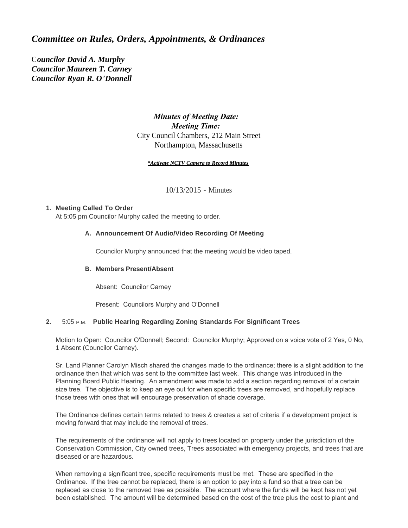# *Committee on Rules, Orders, Appointments, & Ordinances*

C*ouncilor David A. Murphy Councilor Maureen T. Carney Councilor Ryan R. O'Donnell*

# *Minutes of Meeting Date: Meeting Time:*  City Council Chambers, 212 Main Street Northampton, Massachusetts

#### *\*Activate NCTV Camera to Record Minutes*

10/13/2015 - Minutes

## **Meeting Called To Order 1.**

At 5:05 pm Councilor Murphy called the meeting to order.

## **Announcement Of Audio/Video Recording Of Meeting A.**

Councilor Murphy announced that the meeting would be video taped.

### **Members Present/Absent B.**

Absent: Councilor Carney

Present: Councilors Murphy and O'Donnell

### **Public Hearing Regarding Zoning Standards For Significant Trees 2.** 5:05 P.M.

Motion to Open: Councilor O'Donnell; Second: Councilor Murphy; Approved on a voice vote of 2 Yes, 0 No, 1 Absent (Councilor Carney).

Sr. Land Planner Carolyn Misch shared the changes made to the ordinance; there is a slight addition to the ordinance then that which was sent to the committee last week. This change was introduced in the Planning Board Public Hearing. An amendment was made to add a section regarding removal of a certain size tree. The objective is to keep an eye out for when specific trees are removed, and hopefully replace those trees with ones that will encourage preservation of shade coverage.

The Ordinance defines certain terms related to trees & creates a set of criteria if a development project is moving forward that may include the removal of trees.

The requirements of the ordinance will not apply to trees located on property under the jurisdiction of the Conservation Commission, City owned trees, Trees associated with emergency projects, and trees that are diseased or are hazardous.

When removing a significant tree, specific requirements must be met. These are specified in the Ordinance. If the tree cannot be replaced, there is an option to pay into a fund so that a tree can be replaced as close to the removed tree as possible. The account where the funds will be kept has not yet been established. The amount will be determined based on the cost of the tree plus the cost to plant and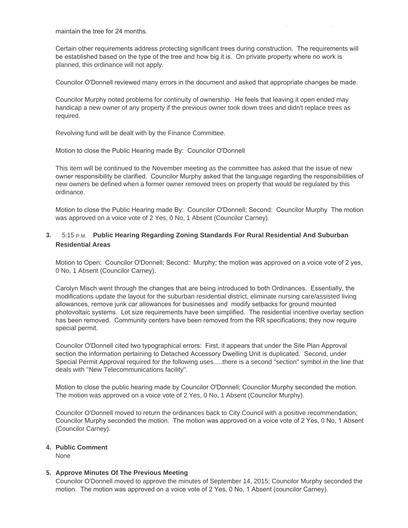maintain the tree for 24 months.

Certain other requirements address protecting significant trees during construction. The requirements will be established based on the type of the tree and how big it is. On private property where no work is planned, this ordinance will not apply.

been established. The amount will be determined based on the cost of the tree plus the cost to plant and

Councilor O'Donnell reviewed many errors in the document and asked that appropriate changes be made.

Councilor Murphy noted problems for continuity of ownership. He feels that leaving it open ended may handicap a new owner of any property if the previous owner took down trees and didn't replace trees as required.

Revolving fund will be dealt with by the Finance Committee.

Motion to close the Public Hearing made By: Councilor O'Donnell

This item will be continued to the November meeting as the committee has asked that the issue of new owner responsibility be clarified. Councilor Murphy asked that the language regarding the responsibilities of new owners be defined when a former owner removed trees on property that would be regulated by this ordinance.

Motion to close the Public Hearing made By: Councilor O'Donnell; Second: Councilor Murphy The motion was approved on a voice vote of 2 Yes, 0 No, 1 Absent (Councilor Carney).

## **Public Hearing Regarding Zoning Standards For Rural Residential And Suburban 3.** 5:15 P.M. **Residential Areas**

Motion to Open: Councilor O'Donnell; Second: Murphy; the motion was approved on a voice vote of 2 yes, 0 No, 1 Absent (Councilor Carney).

Carolyn Misch went through the changes that are being introduced to both Ordinances. Essentially, the modifications update the layout for the suburban residential district, eliminate nursing care/assisted living allowances, remove junk car allowances for businesses and modify setbacks for ground mounted photovoltaic systems. Lot size requirements have been simplified. The residential incentive overlay section has been removed. Community centers have been removed from the RR specifications; they now require special permit.

Councilor O'Donnell cited two typographical errors: First, it appears that under the Site Plan Approval section the information pertaining to Detached Accessory Dwelling Unit is duplicated. Second, under Special Permit Approval required for the following uses.....there is a second "section" symbol in the line that deals with "New Telecommunications facility".

Motion to close the public hearing made by Councilor O'Donnell; Councilor Murphy seconded the motion. The motion was approved on a voice vote of 2 Yes, 0 No, 1 Absent (Councilor Murphy).

Councilor O'Donnell moved to return the ordinances back to City Council with a positive recommendation; Councilor Murphy seconded the motion. The motion was approved on a voice vote of 2 Yes, 0 No, 1 Absent (Councilor Carney).

### **Public Comment 4.**

None

### **Approve Minutes Of The Previous Meeting 5.**

Councilor O'Donnell moved to approve the minutes of September 14, 2015; Councilor Murphy seconded the motion. The motion was approved on a voice vote of 2 Yes, 0 No, 1 Absent (councilor Carney).